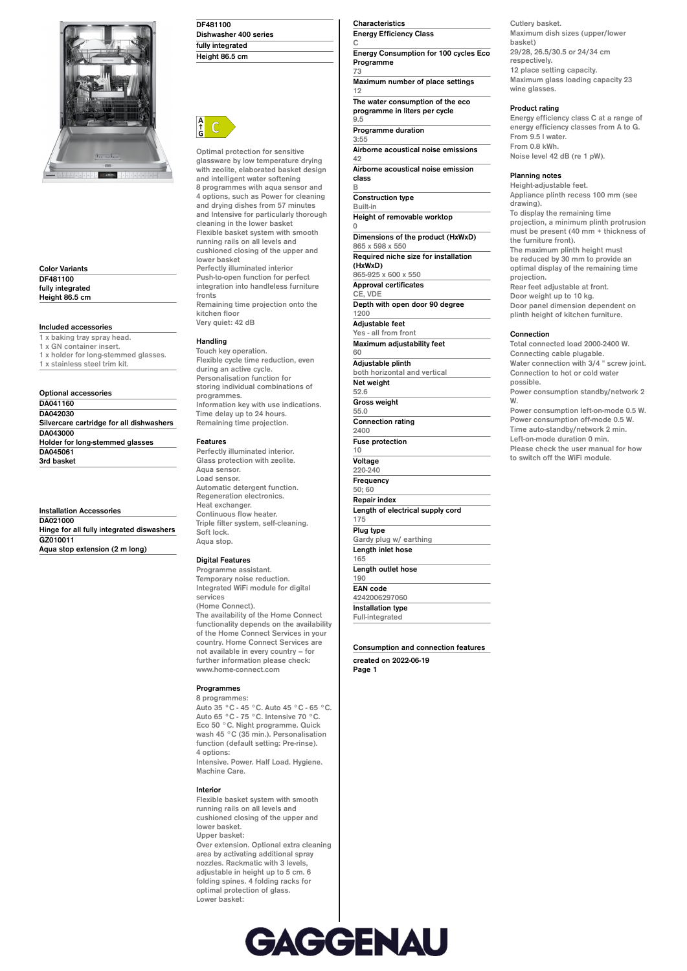

**Color Variants DF481100 fully integrated Height 86.5 cm**

**Included accessories**

**1 x baking tray spray head. 1 x GN container insert. 1 x holder for long-stemmed glasses. 1 x stainless steel trim kit.**

#### **Optional accessories DA041160 DA042030 Silvercare cartridge for all dishwashers DA043000 Holder for long-stemmed glasses DA045061 3rd basket**

**Installation Accessories DA021000 Hinge for all fully integrated diswashers GZ010011 Aqua stop extension (2 m long)**

| DF481100              |  |
|-----------------------|--|
| Dishwasher 400 series |  |
| fully integrated      |  |
| Height 86.5 cm        |  |



**Optimal protection for sensitive glassware by low temperature drying with zeolite, elaborated basket design and intelligent water softening 8 programmes with aqua sensor and 4 options, such as Power for cleaning and drying dishes from 57 minutes and Intensive for particularly thorough cleaning in the lower basket Flexible basket system with smooth running rails on all levels and cushioned closing of the upper and lower basket Perfectly illuminated interior Push-to-open function for perfect integration into handleless furniture fronts Remaining time projection onto the**

**kitchen floor Very quiet: 42 dB**

## **Handling**

**Touch key operation. Flexible cycle time reduction, even during an active cycle. Personalisation function for storing individual combinations of programmes. Information key with use indications. Time delay up to 24 hours. Remaining time projection.**

## **Features**

**Perfectly illuminated interior. Glass protection with zeolite. Aqua sensor. Load sensor. Automatic detergent function. Regeneration electronics. Heat exchanger. Continuous flow heater. Triple filter system, self-cleaning. Soft lock. Aqua stop.**

## **Digital Features**

**Programme assistant. Temporary noise reduction. Integrated WiFi module for digital services (Home Connect). The availability of the Home Connect functionality depends on the availability of the Home Connect Services in your country. Home Connect Services are not available in every country – for further information please check: www.home-connect.com**

# **Programmes**

**8 programmes: Auto 35 °C - 45 °C. Auto 45 °C - 65 °C. Auto 65 °C - 75 °C. Intensive 70 °C. Eco 50 °C. Night programme. Quick wash 45 °C (35 min.). Personalisation function (default setting: Pre-rinse). 4 options:**

**Intensive. Power. Half Load. Hygiene. Machine Care.**

#### **Interior**

**Flexible basket system with smooth running rails on all levels and cushioned closing of the upper and lower basket. Upper basket: Over extension. Optional extra cleaning area by activating additional spray nozzles. Rackmatic with 3 levels, adjustable in height up to 5 cm. 6 folding spines. 4 folding racks for optimal protection of glass. Lower basket:**

### **Characteristics Energy Efficiency Class**

**C Energy Consumption for 100 cycles Eco Programme**

**73 Maximum number of place settings 12 The water consumption of the eco**

**programme in liters per cycle 9.5**

**Programme duration 3:55**

**0**

**Airborne acoustical noise emissions 42**

**Airborne acoustical noise emission class B**

**Construction type Built-in Height of removable worktop Dimensions of the product (HxWxD) 865 x 598 x 550 Required niche size for installation (HxWxD) 865-925 x 600 x 550 Approval certificates CE, VDE Depth with open door 90 degree 1200**

**Adjustable feet Yes - all from front Maximum adjustability feet 60 Adjustable plinth both horizontal and vertical Net weight 52.6 Gross weight 55.0 Connection rating 2400 Fuse protection 10 Voltage 220-240 Frequency 50; 60 Repair index Length of electrical supply cord 175 Plug type Gardy plug w/ earthing Length inlet hose 165 Length outlet hose**

**190 EAN code 4242006297060 Installation type Full-integrated**

**Consumption and connection features created on 2022-06-19 Page 1**

**Cutlery basket. Maximum dish sizes (upper/lower basket) 29/28, 26.5/30.5 or 24/34 cm respectively. 12 place setting capacity. Maximum glass loading capacity 23 wine glasses.**

# **Product rating**

**Energy efficiency class C at a range of energy efficiency classes from A to G. From 9.5 l water. From 0.8 kWh. Noise level 42 dB (re 1 pW).**

### **Planning notes**

**Height-adjustable feet. Appliance plinth recess 100 mm (see drawing). To display the remaining time projection, a minimum plinth protrusion must be present (40 mm + thickness of the furniture front). The maximum plinth height must be reduced by 30 mm to provide an optimal display of the remaining time projection. Rear feet adjustable at front. Door weight up to 10 kg. Door panel dimension dependent on plinth height of kitchen furniture. Connection Total connected load 2000-2400 W. Connecting cable plugable. Water connection with 3/4 " screw joint. Connection to hot or cold water possible. Power consumption standby/network 2**

**W. Power consumption left-on-mode 0.5 W. Power consumption off-mode 0.5 W. Time auto-standby/network 2 min. Left-on-mode duration 0 min. Please check the user manual for how to switch off the WiFi module.**